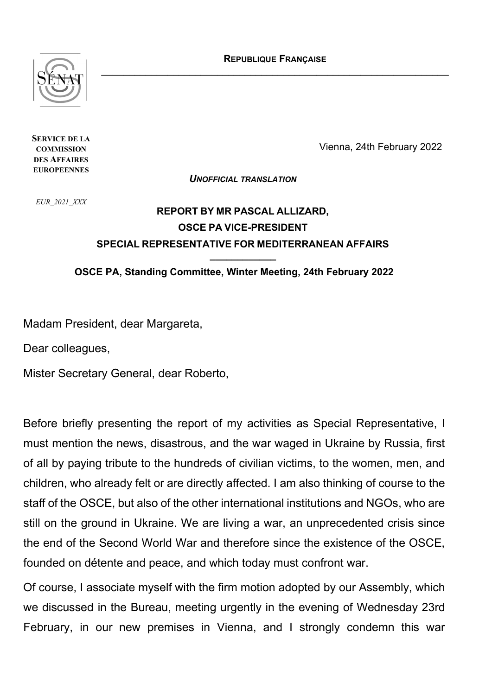**REPUBLIQUE FRANÇAISE** \_\_\_\_\_\_\_\_\_\_\_\_\_\_\_\_\_\_\_\_\_\_\_\_\_\_\_\_\_\_\_\_\_\_\_\_\_\_\_\_\_\_\_\_\_\_\_\_\_\_\_\_\_\_\_\_\_\_\_\_\_\_\_



**SERVICE DE LA COMMISSION DES AFFAIRES EUROPEENNES**

Vienna, 24th February 2022

*UNOFFICIAL TRANSLATION*

*EUR\_2021\_XXX*

## **REPORT BY MR PASCAL ALLIZARD, OSCE PA VICE-PRESIDENT SPECIAL REPRESENTATIVE FOR MEDITERRANEAN AFFAIRS \_\_\_\_\_\_\_\_\_\_\_\_**

**OSCE PA, Standing Committee, Winter Meeting, 24th February 2022**

Madam President, dear Margareta,

Dear colleagues,

Mister Secretary General, dear Roberto,

Before briefly presenting the report of my activities as Special Representative, I must mention the news, disastrous, and the war waged in Ukraine by Russia, first of all by paying tribute to the hundreds of civilian victims, to the women, men, and children, who already felt or are directly affected. I am also thinking of course to the staff of the OSCE, but also of the other international institutions and NGOs, who are still on the ground in Ukraine. We are living a war, an unprecedented crisis since the end of the Second World War and therefore since the existence of the OSCE, founded on détente and peace, and which today must confront war.

Of course, I associate myself with the firm motion adopted by our Assembly, which we discussed in the Bureau, meeting urgently in the evening of Wednesday 23rd February, in our new premises in Vienna, and I strongly condemn this war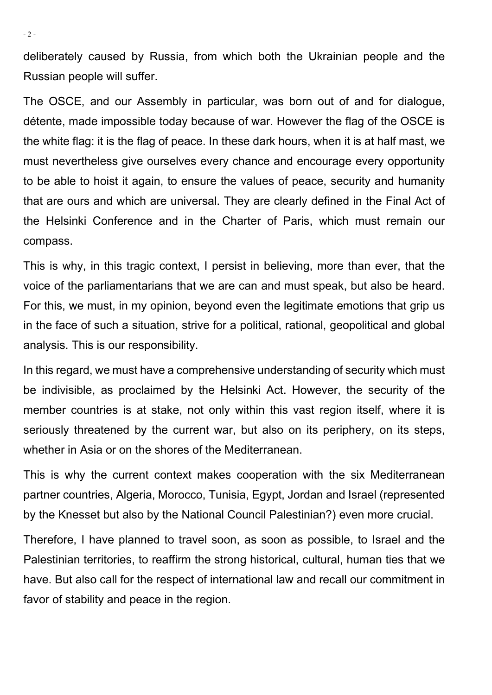deliberately caused by Russia, from which both the Ukrainian people and the Russian people will suffer.

The OSCE, and our Assembly in particular, was born out of and for dialogue, détente, made impossible today because of war. However the flag of the OSCE is the white flag: it is the flag of peace. In these dark hours, when it is at half mast, we must nevertheless give ourselves every chance and encourage every opportunity to be able to hoist it again, to ensure the values of peace, security and humanity that are ours and which are universal. They are clearly defined in the Final Act of the Helsinki Conference and in the Charter of Paris, which must remain our compass.

This is why, in this tragic context, I persist in believing, more than ever, that the voice of the parliamentarians that we are can and must speak, but also be heard. For this, we must, in my opinion, beyond even the legitimate emotions that grip us in the face of such a situation, strive for a political, rational, geopolitical and global analysis. This is our responsibility.

In this regard, we must have a comprehensive understanding of security which must be indivisible, as proclaimed by the Helsinki Act. However, the security of the member countries is at stake, not only within this vast region itself, where it is seriously threatened by the current war, but also on its periphery, on its steps, whether in Asia or on the shores of the Mediterranean.

This is why the current context makes cooperation with the six Mediterranean partner countries, Algeria, Morocco, Tunisia, Egypt, Jordan and Israel (represented by the Knesset but also by the National Council Palestinian?) even more crucial.

Therefore, I have planned to travel soon, as soon as possible, to Israel and the Palestinian territories, to reaffirm the strong historical, cultural, human ties that we have. But also call for the respect of international law and recall our commitment in favor of stability and peace in the region.

- 2 -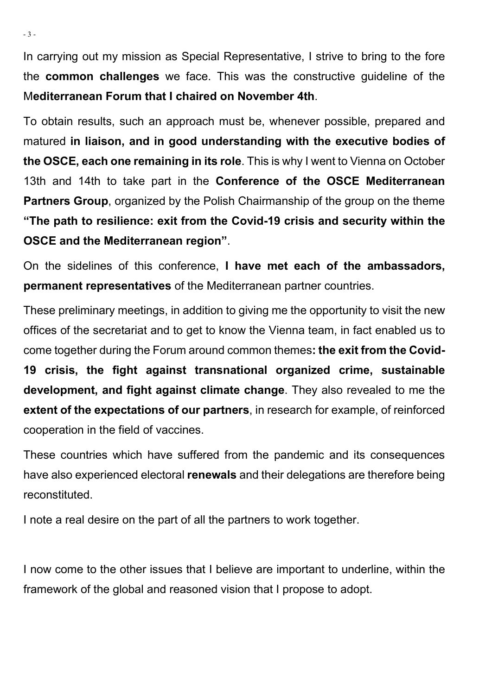In carrying out my mission as Special Representative, I strive to bring to the fore the **common challenges** we face. This was the constructive guideline of the M**editerranean Forum that I chaired on November 4th**.

To obtain results, such an approach must be, whenever possible, prepared and matured **in liaison, and in good understanding with the executive bodies of the OSCE, each one remaining in its role**. This is why I went to Vienna on October 13th and 14th to take part in the **Conference of the OSCE Mediterranean Partners Group**, organized by the Polish Chairmanship of the group on the theme **"The path to resilience: exit from the Covid-19 crisis and security within the OSCE and the Mediterranean region"**.

On the sidelines of this conference, **I have met each of the ambassadors, permanent representatives** of the Mediterranean partner countries.

These preliminary meetings, in addition to giving me the opportunity to visit the new offices of the secretariat and to get to know the Vienna team, in fact enabled us to come together during the Forum around common themes**: the exit from the Covid-19 crisis, the fight against transnational organized crime, sustainable development, and fight against climate change**. They also revealed to me the **extent of the expectations of our partners**, in research for example, of reinforced cooperation in the field of vaccines.

These countries which have suffered from the pandemic and its consequences have also experienced electoral **renewals** and their delegations are therefore being reconstituted.

I note a real desire on the part of all the partners to work together.

I now come to the other issues that I believe are important to underline, within the framework of the global and reasoned vision that I propose to adopt.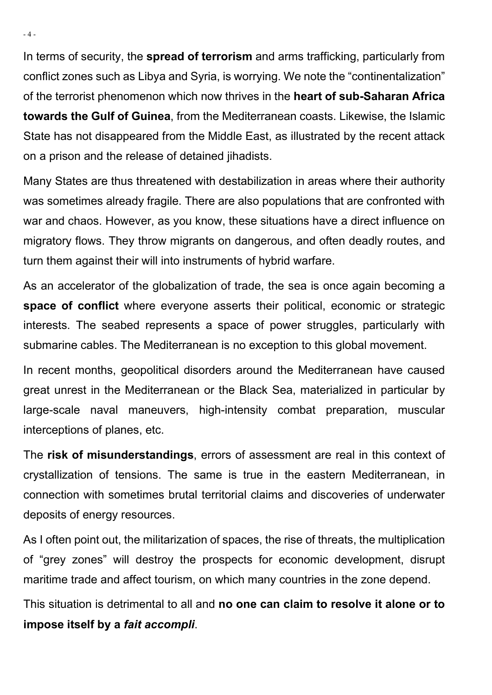In terms of security, the **spread of terrorism** and arms trafficking, particularly from conflict zones such as Libya and Syria, is worrying. We note the "continentalization" of the terrorist phenomenon which now thrives in the **heart of sub-Saharan Africa towards the Gulf of Guinea**, from the Mediterranean coasts. Likewise, the Islamic State has not disappeared from the Middle East, as illustrated by the recent attack on a prison and the release of detained jihadists.

Many States are thus threatened with destabilization in areas where their authority was sometimes already fragile. There are also populations that are confronted with war and chaos. However, as you know, these situations have a direct influence on migratory flows. They throw migrants on dangerous, and often deadly routes, and turn them against their will into instruments of hybrid warfare.

As an accelerator of the globalization of trade, the sea is once again becoming a **space of conflict** where everyone asserts their political, economic or strategic interests. The seabed represents a space of power struggles, particularly with submarine cables. The Mediterranean is no exception to this global movement.

In recent months, geopolitical disorders around the Mediterranean have caused great unrest in the Mediterranean or the Black Sea, materialized in particular by large-scale naval maneuvers, high-intensity combat preparation, muscular interceptions of planes, etc.

The **risk of misunderstandings**, errors of assessment are real in this context of crystallization of tensions. The same is true in the eastern Mediterranean, in connection with sometimes brutal territorial claims and discoveries of underwater deposits of energy resources.

As I often point out, the militarization of spaces, the rise of threats, the multiplication of "grey zones" will destroy the prospects for economic development, disrupt maritime trade and affect tourism, on which many countries in the zone depend.

This situation is detrimental to all and **no one can claim to resolve it alone or to impose itself by a** *fait accompli*.

- 4 -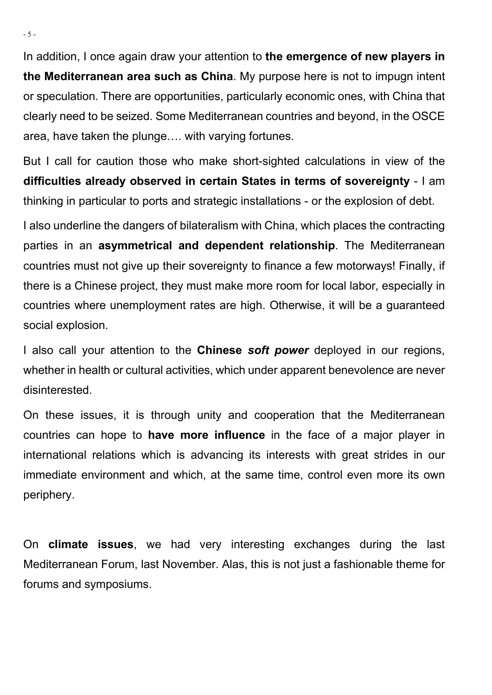In addition, I once again draw your attention to **the emergence of new players in the Mediterranean area such as China**. My purpose here is not to impugn intent or speculation. There are opportunities, particularly economic ones, with China that clearly need to be seized. Some Mediterranean countries and beyond, in the OSCE area, have taken the plunge…. with varying fortunes.

But I call for caution those who make short-sighted calculations in view of the **difficulties already observed in certain States in terms of sovereignty** - I am thinking in particular to ports and strategic installations - or the explosion of debt.

I also underline the dangers of bilateralism with China, which places the contracting parties in an **asymmetrical and dependent relationship**. The Mediterranean countries must not give up their sovereignty to finance a few motorways! Finally, if there is a Chinese project, they must make more room for local labor, especially in countries where unemployment rates are high. Otherwise, it will be a guaranteed social explosion.

I also call your attention to the **Chinese** *soft power* deployed in our regions, whether in health or cultural activities, which under apparent benevolence are never disinterested.

On these issues, it is through unity and cooperation that the Mediterranean countries can hope to **have more influence** in the face of a major player in international relations which is advancing its interests with great strides in our immediate environment and which, at the same time, control even more its own periphery.

On **climate issues**, we had very interesting exchanges during the last Mediterranean Forum, last November. Alas, this is not just a fashionable theme for forums and symposiums.

- 5 -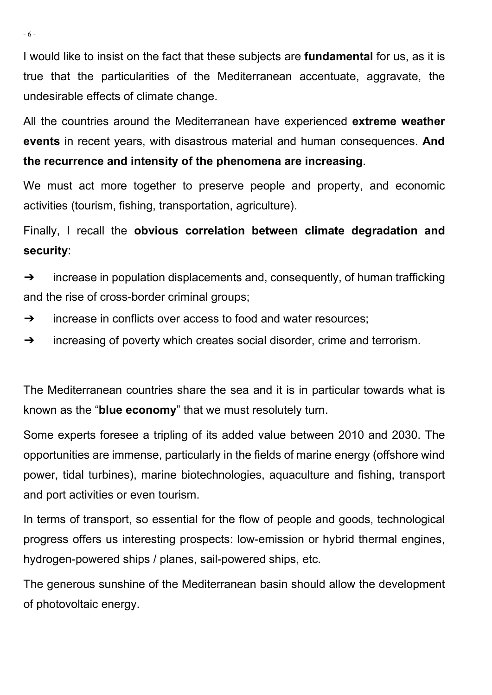I would like to insist on the fact that these subjects are **fundamental** for us, as it is true that the particularities of the Mediterranean accentuate, aggravate, the undesirable effects of climate change.

All the countries around the Mediterranean have experienced **extreme weather events** in recent years, with disastrous material and human consequences. **And the recurrence and intensity of the phenomena are increasing**.

We must act more together to preserve people and property, and economic activities (tourism, fishing, transportation, agriculture).

Finally, I recall the **obvious correlation between climate degradation and security**:

 $\rightarrow$  increase in population displacements and, consequently, of human trafficking and the rise of cross-border criminal groups;

- ➔ increase in conflicts over access to food and water resources;
- ➔ increasing of poverty which creates social disorder, crime and terrorism.

The Mediterranean countries share the sea and it is in particular towards what is known as the "**blue economy**" that we must resolutely turn.

Some experts foresee a tripling of its added value between 2010 and 2030. The opportunities are immense, particularly in the fields of marine energy (offshore wind power, tidal turbines), marine biotechnologies, aquaculture and fishing, transport and port activities or even tourism.

In terms of transport, so essential for the flow of people and goods, technological progress offers us interesting prospects: low-emission or hybrid thermal engines, hydrogen-powered ships / planes, sail-powered ships, etc.

The generous sunshine of the Mediterranean basin should allow the development of photovoltaic energy.

- 6 -